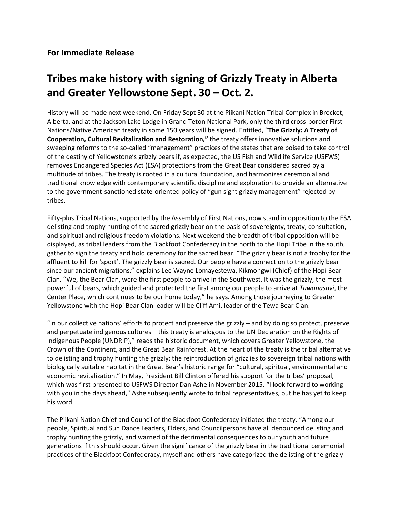## **Tribes make history with signing of Grizzly Treaty in Alberta and Greater Yellowstone Sept. 30 – Oct. 2.**

History will be made next weekend. On Friday Sept 30 at the Piikani Nation Tribal Complex in Brocket, Alberta, and at the Jackson Lake Lodge in Grand Teton National Park, only the third cross-border First Nations/Native American treaty in some 150 years will be signed. Entitled, "**The Grizzly: A Treaty of Cooperation, Cultural Revitalization and Restoration,"** the treaty offers innovative solutions and sweeping reforms to the so-called "management" practices of the states that are poised to take control of the destiny of Yellowstone's grizzly bears if, as expected, the US Fish and Wildlife Service (USFWS) removes Endangered Species Act (ESA) protections from the Great Bear considered sacred by a multitude of tribes. The treaty is rooted in a cultural foundation, and harmonizes ceremonial and traditional knowledge with contemporary scientific discipline and exploration to provide an alternative to the government-sanctioned state-oriented policy of "gun sight grizzly management" rejected by tribes.

Fifty-plus Tribal Nations, supported by the Assembly of First Nations, now stand in opposition to the ESA delisting and trophy hunting of the sacred grizzly bear on the basis of sovereignty, treaty, consultation, and spiritual and religious freedom violations. Next weekend the breadth of tribal opposition will be displayed, as tribal leaders from the Blackfoot Confederacy in the north to the Hopi Tribe in the south, gather to sign the treaty and hold ceremony for the sacred bear. "The grizzly bear is not a trophy for the affluent to kill for 'sport'. The grizzly bear is sacred. Our people have a connection to the grizzly bear since our ancient migrations," explains Lee Wayne Lomayestewa, Kikmongwi (Chief) of the Hopi Bear Clan. "We, the Bear Clan, were the first people to arrive in the Southwest. It was the grizzly, the most powerful of bears, which guided and protected the first among our people to arrive at *Tuwanasavi*, the Center Place, which continues to be our home today," he says. Among those journeying to Greater Yellowstone with the Hopi Bear Clan leader will be Cliff Ami, leader of the Tewa Bear Clan.

"In our collective nations' efforts to protect and preserve the grizzly – and by doing so protect, preserve and perpetuate indigenous cultures – this treaty is analogous to the UN Declaration on the Rights of Indigenous People (UNDRIP)," reads the historic document, which covers Greater Yellowstone, the Crown of the Continent, and the Great Bear Rainforest. At the heart of the treaty is the tribal alternative to delisting and trophy hunting the grizzly: the reintroduction of grizzlies to sovereign tribal nations with biologically suitable habitat in the Great Bear's historic range for "cultural, spiritual, environmental and economic revitalization." In May, President Bill Clinton offered his support for the tribes' proposal, which was first presented to USFWS Director Dan Ashe in November 2015. "I look forward to working with you in the days ahead," Ashe subsequently wrote to tribal representatives, but he has yet to keep his word.

The Piikani Nation Chief and Council of the Blackfoot Confederacy initiated the treaty. "Among our people, Spiritual and Sun Dance Leaders, Elders, and Councilpersons have all denounced delisting and trophy hunting the grizzly, and warned of the detrimental consequences to our youth and future generations if this should occur. Given the significance of the grizzly bear in the traditional ceremonial practices of the Blackfoot Confederacy, myself and others have categorized the delisting of the grizzly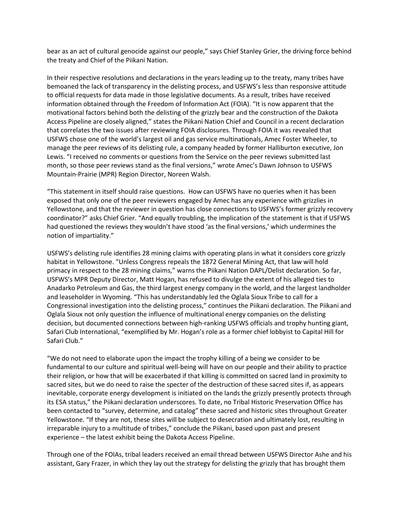bear as an act of cultural genocide against our people," says Chief Stanley Grier, the driving force behind the treaty and Chief of the Piikani Nation.

In their respective resolutions and declarations in the years leading up to the treaty, many tribes have bemoaned the lack of transparency in the delisting process, and USFWS's less than responsive attitude to official requests for data made in those legislative documents. As a result, tribes have received information obtained through the Freedom of Information Act (FOIA). "It is now apparent that the motivational factors behind both the delisting of the grizzly bear and the construction of the Dakota Access Pipeline are closely aligned," states the Piikani Nation Chief and Council in a recent declaration that correlates the two issues after reviewing FOIA disclosures. Through FOIA it was revealed that USFWS chose one of the world's largest oil and gas service multinationals, Amec Foster Wheeler, to manage the peer reviews of its delisting rule, a company headed by former Halliburton executive, Jon Lewis. "I received no comments or questions from the Service on the peer reviews submitted last month, so those peer reviews stand as the final versions," wrote Amec's Dawn Johnson to USFWS Mountain-Prairie (MPR) Region Director, Noreen Walsh.

"This statement in itself should raise questions. How can USFWS have no queries when it has been exposed that only one of the peer reviewers engaged by Amec has any experience with grizzlies in Yellowstone, and that the reviewer in question has close connections to USFWS's former grizzly recovery coordinator?" asks Chief Grier. "And equally troubling, the implication of the statement is that if USFWS had questioned the reviews they wouldn't have stood 'as the final versions,' which undermines the notion of impartiality."

USFWS's delisting rule identifies 28 mining claims with operating plans in what it considers core grizzly habitat in Yellowstone. "Unless Congress repeals the 1872 General Mining Act, that law will hold primacy in respect to the 28 mining claims," warns the Piikani Nation DAPL/Delist declaration. So far, USFWS's MPR Deputy Director, Matt Hogan, has refused to divulge the extent of his alleged ties to Anadarko Petroleum and Gas, the third largest energy company in the world, and the largest landholder and leaseholder in Wyoming. "This has understandably led the Oglala Sioux Tribe to call for a Congressional investigation into the delisting process," continues the Piikani declaration. The Piikani and Oglala Sioux not only question the influence of multinational energy companies on the delisting decision, but documented connections between high-ranking USFWS officials and trophy hunting giant, Safari Club International, "exemplified by Mr. Hogan's role as a former chief lobbyist to Capital Hill for Safari Club."

"We do not need to elaborate upon the impact the trophy killing of a being we consider to be fundamental to our culture and spiritual well-being will have on our people and their ability to practice their religion, or how that will be exacerbated if that killing is committed on sacred land in proximity to sacred sites, but we do need to raise the specter of the destruction of these sacred sites if, as appears inevitable, corporate energy development is initiated on the lands the grizzly presently protects through its ESA status," the Piikani declaration underscores. To date, no Tribal Historic Preservation Office has been contacted to "survey, determine, and catalog" these sacred and historic sites throughout Greater Yellowstone. "If they are not, these sites will be subject to desecration and ultimately lost, resulting in irreparable injury to a multitude of tribes," conclude the Piikani, based upon past and present experience – the latest exhibit being the Dakota Access Pipeline.

Through one of the FOIAs, tribal leaders received an email thread between USFWS Director Ashe and his assistant, Gary Frazer, in which they lay out the strategy for delisting the grizzly that has brought them